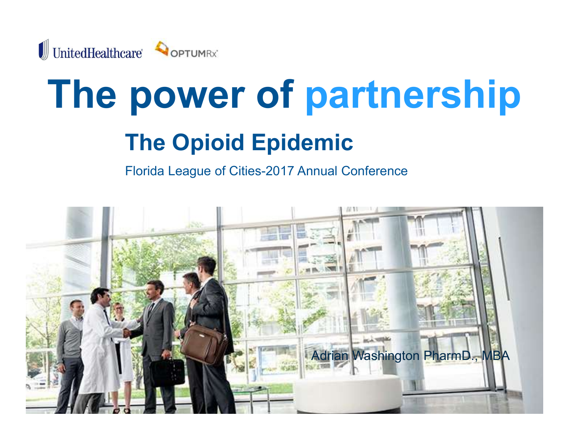

# The power of partnership

# The Opioid Epidemic

Florida League of Cities-2017 Annual Conference

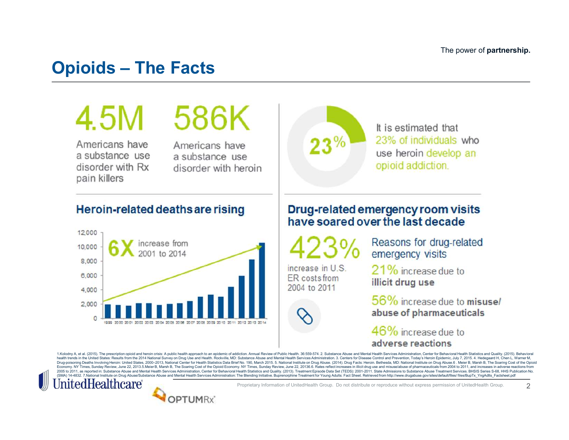# Opioids – The Facts<br>
1 5 M 5 B G V

Americans have a substance use Americans have a substance use



It is estimated that 23% of individuals who use heroin develop an



2

Duray in the United States, 2000-2013, National Center for Health Statistics Data Brief No. 190, March 2015. 5. National Institute on Drug Abuse. (2014). Durg Facts: Heroin. Bethesda, MD: National Institute on Drug Abuse. (SMA) 14-4832. 7. National Institute on Drug Abuse/Substance Abuse and Mental Health Services Administration: The Blending Initiative. Buprenorphine Treatment for Young Adults: Fact Sheet. Retrieved from http://www.drugabu



Proprietary Information of UnitedHealth Group. Do not distribute or reproduce without express permission of UnitedHealth Group.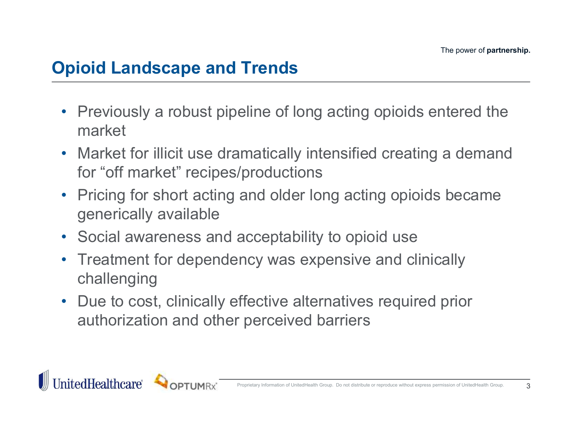# Opioid Landscape and Trends

- Previously a robust pipeline of long acting opioids entered the market
- Market for illicit use dramatically intensified creating a demand for "off market" recipes/productions
- Pricing for short acting and older long acting opioids became generically available
- Social awareness and acceptability to opioid use
- Treatment for dependency was expensive and clinically challenging
- Due to cost, clinically effective alternatives required prior authorization and other perceived barriers



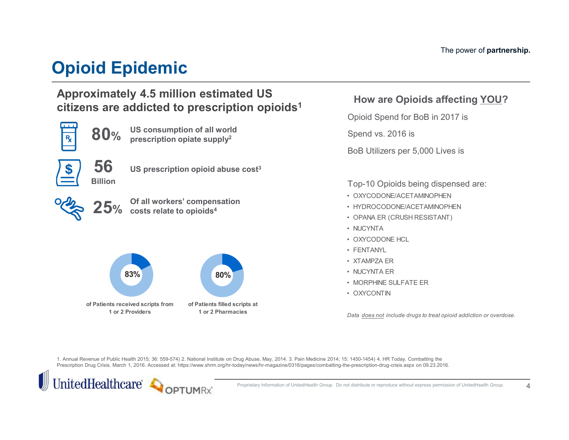# Opioid Epidemic

### Approximately 4.5 million estimated US citizens are addicted to prescription opioids<sup>1</sup>



### How are Opioids affecting YOU?

Opioid Spend for BoB in 2017 is

Spend vs. 2016 is

BoB Utilizers per 5,000 Lives is

Top-10 Opioids being dispensed are:

- OXYCODONE/ACETAMINOPHEN
- HYDROCODONE/ACETAMINOPHEN
- OPANA ER (CRUSH RESISTANT)
- NUCYNTA
- OXYCODONE HCL
- FENTANYL
- XTAMPZA ER
- NUCYNTA ER
- MORPHINE SULFATE ER
- OXYCONTIN

Data does not include drugs to treat opioid addiction or overdose.

1. Annual Revenue of Public Health 2015; 36: 559-574) 2. National Institute on Drug Abuse, May, 2014. 3. Pain Medicine 2014; 15: 1450-1454) 4. HR Today. Combatting the Prescription Drug Crisis. March 1, 2016. Accessed at: https://www.shrm.org/hr-today/news/hr-magazine/0316/pages/combatting-the-prescription-drug-crisis.aspx on 09.23.2016.



Proprietary Information of UnitedHealth Group. Do not distribute or reproduce without express permission of UnitedHealth Group.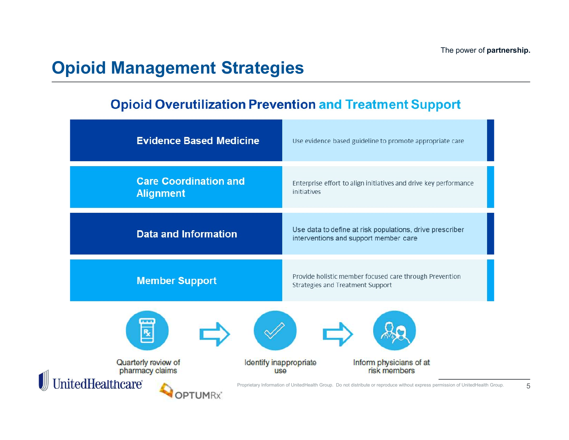## Opioid Management Strategies

### **Opioid Overutilization Prevention and Treatment Support**

| <b>Evidence Based Medicine</b>                                                                                  | Use evidence based guideline to promote appropriate care                                                                                                                   |
|-----------------------------------------------------------------------------------------------------------------|----------------------------------------------------------------------------------------------------------------------------------------------------------------------------|
| <b>Care Coordination and</b><br><b>Alignment</b>                                                                | Enterprise effort to align initiatives and drive key performance<br>initiatives                                                                                            |
| <b>Data and Information</b>                                                                                     | Use data to define at risk populations, drive prescriber<br>interventions and support member care                                                                          |
| <b>Member Support</b>                                                                                           | Provide holistic member focused care through Prevention<br>Strategies and Treatment Support                                                                                |
| R                                                                                                               |                                                                                                                                                                            |
| Quarterly review of<br>Identify inappropriate<br>pharmacy claims<br><b>use</b><br>Healthcare®<br><b>OPTUMRx</b> | Inform physicians of at<br>risk members<br>Proprietary Information of UnitedHealth Group. Do not distribute or reproduce without express permission of UnitedHealth Group. |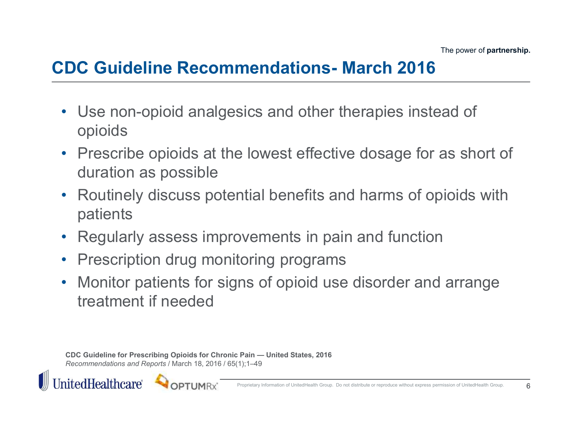# CDC Guideline Recommendations- March 2016

- Use non-opioid analgesics and other therapies instead of opioids
- Prescribe opioids at the lowest effective dosage for as short of duration as possible
- Routinely discuss potential benefits and harms of opioids with patients
- Regularly assess improvements in pain and function
- Prescription drug monitoring programs
- Monitor patients for signs of opioid use disorder and arrange treatment if needed duration as possible<br>
Routinely discuss potential benefits and harms of opioids with<br>
patients<br>
Regularly assess improvements in pain and function<br>
Prescription drug monitoring programs<br>
Monitor patients for signs of opioi

Recommendations and Reports / March 18, 2016 / 65(1);1–49



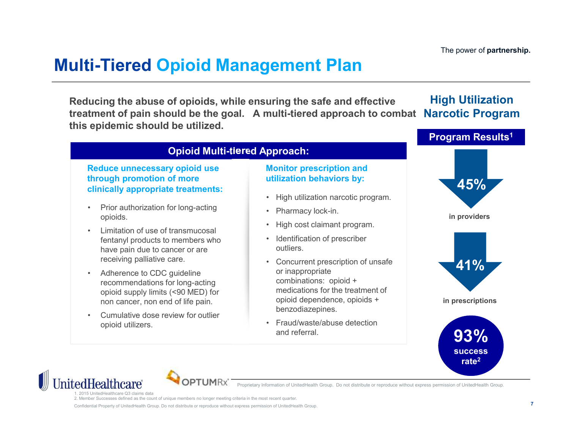The power of partnership.

## Multi-Tiered Opioid Management Plan

Reducing the abuse of opioids, while ensuring the safe and effective treatment of pain should be the goal. A multi-tiered approach to combat this epidemic should be utilized. **Example 12 Fierred Opioid Management P**<br> **Example 20 Fierred Copioids, while ensuring the safe atment of pain should be the goal.** A multi-tiered approach:<br> **Example 20 Fierred Approach:**<br> **Example 20 Fierred Approach:**<br> **Example 12 Tierred Opioid Management P**<br>
ucing the abuse of opioids, while ensuring the safe  $i$ <br>
the goal. A multi-tiered approach:<br>
epidemic should be utilized.<br>
Opioid Multi-tiered Approach:<br>
Reduce unnecessary opioid **Example 18 and 18 and 18 and 18 and 18 and 18 and 18 and 18 and 18 and 18 and 18 and 18 and 18 and 18 and 18 and 18 and 18 and 18 and 18 and 18 and 18 and 18 and 18 and 18 and 18 and 18 and 18 and 18 and 18 and 18 and 18** High Utilization Narcotic Program

### Opioid Multi-tiered Approach:

### Reduce unnecessary opioid use through promotion of more **clinically appropriate treatments:**<br>
• High utilization narcotic program.

- opioids.
- fentanyl products to members who **Fig. 1 Conservative in the fig. 1 Conservative in the fig. 1 Conservative in the fig. 1 Conservative in the fig. 1 Conservative in the fig. 1 Conservative in the fig. 1 Conse** have pain due to cancer or are receiving palliative care. • Concurrent present in the probability appropriate transmised by the interval operation of more intilization behavior of more interval operation of more concurrent concurrent concurrent of the pain due to cancer or are in
- recommendations for long-acting and the combinations: opioid + opioid supply limits (<90 MED) for non cancer, non end of life pain.
- opioid utilizers.

### Monitor prescription and utilization behaviors by:

- 
- 
- 
- outliers.
- or inappropriate medications for the treatment of opioid dependence, opioids + benzodiazepines.
- and referral.







Proprietary Information of UnitedHealth Group. Do not distribute or reproduce without express permission of UnitedHealth Group.

1. 2015 UnitedHealthcare Q3 claims data

2. Member Successes defined as the count of unique members no longer meeting criteria in the most recent quarter.

Confidential Property of UnitedHealth Group. Do not distribute or reproduce without express permission of UnitedHealth Group.